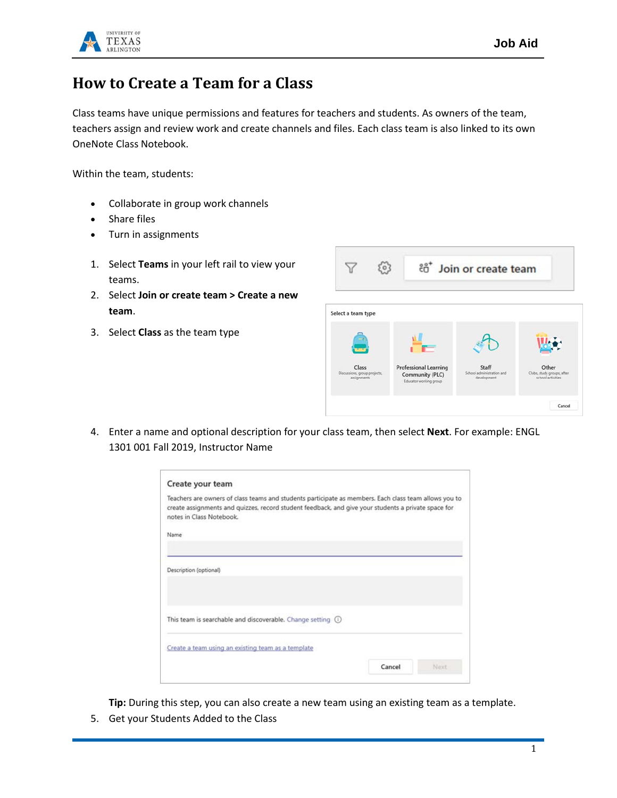

## **How to Create a Team for a Class**

Class teams have unique permissions and features for teachers and students. As owners of the team, teachers assign and review work and create channels and files. Each class team is also linked to its own OneNote Class Notebook.

Within the team, students:

- Collaborate in group work channels
- Share files
- Turn in assignments
- 1. Select **Teams** in your left rail to view your teams.
- 2. Select **Join or create team > Create a new team**.
- 3. Select **Class** as the team type



4. Enter a name and optional description for your class team, then select **Next**. For example: ENGL 1301 001 Fall 2019, Instructor Name

| Create your team                                                                                                                                                                                                                         |  |
|------------------------------------------------------------------------------------------------------------------------------------------------------------------------------------------------------------------------------------------|--|
| Teachers are owners of class teams and students participate as members. Each class team allows you to<br>create assignments and quizzes, record student feedback, and give your students a private space for<br>notes in Class Notebook. |  |
| Name                                                                                                                                                                                                                                     |  |
| Description (optional)                                                                                                                                                                                                                   |  |
| This team is searchable and discoverable. Change setting (i)                                                                                                                                                                             |  |
| Create a team using an existing team as a template                                                                                                                                                                                       |  |
|                                                                                                                                                                                                                                          |  |

**Tip:** During this step, you can also create a new team using an existing team as a template.

5. Get your Students Added to the Class